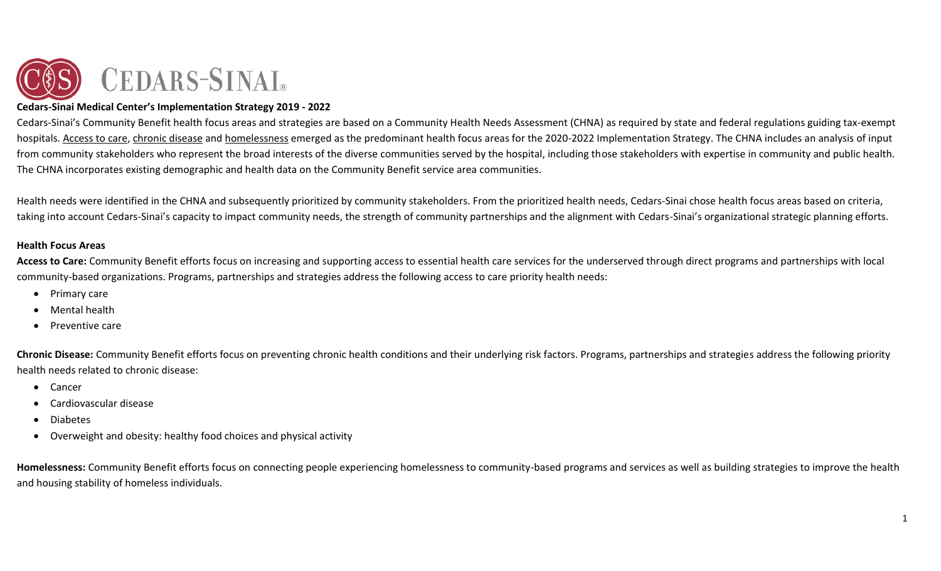

#### **Cedars-Sinai Medical Center's Implementation Strategy 2019 - 2022**

Cedars-Sinai's Community Benefit health focus areas and strategies are based on a Community Health Needs Assessment (CHNA) as required by state and federal regulations guiding tax-exempt hospitals. Access to care, chronic disease and homelessness emerged as the predominant health focus areas for the 2020-2022 Implementation Strategy. The CHNA includes an analysis of input from community stakeholders who represent the broad interests of the diverse communities served by the hospital, including those stakeholders with expertise in community and public health. The CHNA incorporates existing demographic and health data on the Community Benefit service area communities.

Health needs were identified in the CHNA and subsequently prioritized by community stakeholders. From the prioritized health needs, Cedars-Sinai chose health focus areas based on criteria, taking into account Cedars-Sinai's capacity to impact community needs, the strength of community partnerships and the alignment with Cedars-Sinai's organizational strategic planning efforts.

#### **Health Focus Areas**

**Access to Care:** Community Benefit efforts focus on increasing and supporting access to essential health care services for the underserved through direct programs and partnerships with local community-based organizations. Programs, partnerships and strategies address the following access to care priority health needs:

- Primary care
- Mental health
- Preventive care

**Chronic Disease:** Community Benefit efforts focus on preventing chronic health conditions and their underlying risk factors. Programs, partnerships and strategies address the following priority health needs related to chronic disease:

- Cancer
- Cardiovascular disease
- Diabetes
- Overweight and obesity: healthy food choices and physical activity

**Homelessness:** Community Benefit efforts focus on connecting people experiencing homelessness to community-based programs and services as well as building strategies to improve the health and housing stability of homeless individuals.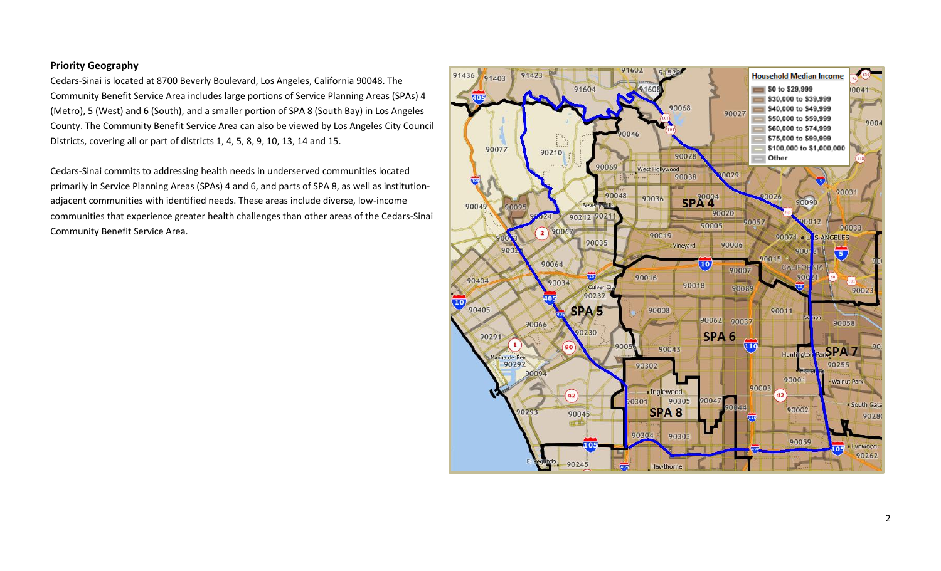#### **Priority Geography**

Cedars-Sinai is located at 8700 Beverly Boulevard, Los Angeles, California 90048. The Community Benefit Service Area includes large portions of Service Planning Areas (SPAs) 4 (Metro), 5 (West) and 6 (South), and a smaller portion of SPA 8 (South Bay) in Los Angeles County. The Community Benefit Service Area can also be viewed by Los Angeles City Council Districts, covering all or part of districts 1, 4, 5, 8, 9, 10, 13, 14 and 15.

Cedars-Sinai commits to addressing health needs in underserved communities located primarily in Service Planning Areas (SPAs) 4 and 6, and parts of SPA 8, as well as institutionadjacent communities with identified needs. These areas include diverse, low-income communities that experience greater health challenges than other areas of the Cedars-Sinai Community Benefit Service Area.

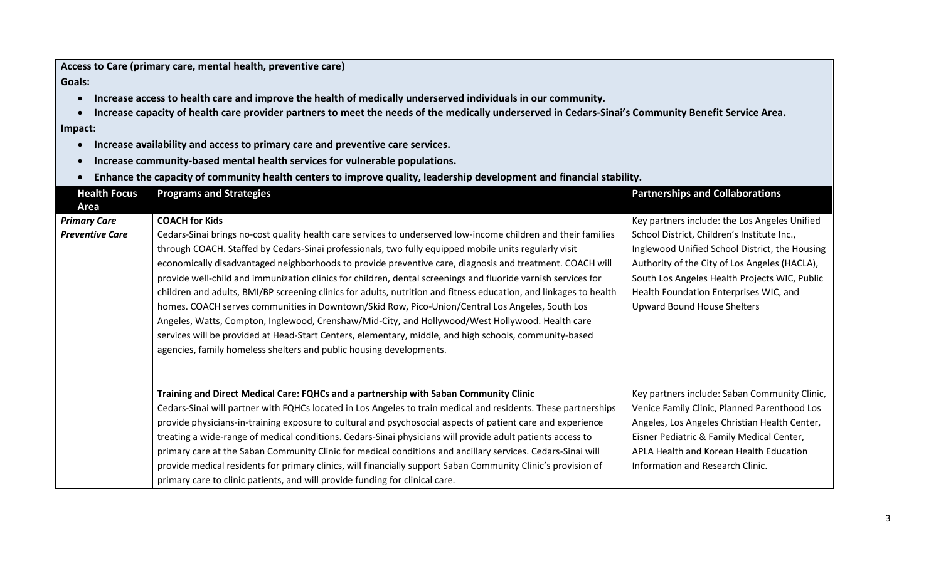|                        | Access to Care (primary care, mental health, preventive care)                                                                                                                                                                                                                                                                                                                                                                                                                                                                                                                                                                                                                                                                                                                                                                                                                                                                                                     |                                                                                                                                                                                                                                                                                 |
|------------------------|-------------------------------------------------------------------------------------------------------------------------------------------------------------------------------------------------------------------------------------------------------------------------------------------------------------------------------------------------------------------------------------------------------------------------------------------------------------------------------------------------------------------------------------------------------------------------------------------------------------------------------------------------------------------------------------------------------------------------------------------------------------------------------------------------------------------------------------------------------------------------------------------------------------------------------------------------------------------|---------------------------------------------------------------------------------------------------------------------------------------------------------------------------------------------------------------------------------------------------------------------------------|
| Goals:                 |                                                                                                                                                                                                                                                                                                                                                                                                                                                                                                                                                                                                                                                                                                                                                                                                                                                                                                                                                                   |                                                                                                                                                                                                                                                                                 |
| $\bullet$              | Increase access to health care and improve the health of medically underserved individuals in our community.                                                                                                                                                                                                                                                                                                                                                                                                                                                                                                                                                                                                                                                                                                                                                                                                                                                      |                                                                                                                                                                                                                                                                                 |
|                        | Increase capacity of health care provider partners to meet the needs of the medically underserved in Cedars-Sinai's Community Benefit Service Area.                                                                                                                                                                                                                                                                                                                                                                                                                                                                                                                                                                                                                                                                                                                                                                                                               |                                                                                                                                                                                                                                                                                 |
| Impact:                |                                                                                                                                                                                                                                                                                                                                                                                                                                                                                                                                                                                                                                                                                                                                                                                                                                                                                                                                                                   |                                                                                                                                                                                                                                                                                 |
| $\bullet$              | Increase availability and access to primary care and preventive care services.                                                                                                                                                                                                                                                                                                                                                                                                                                                                                                                                                                                                                                                                                                                                                                                                                                                                                    |                                                                                                                                                                                                                                                                                 |
| $\bullet$              | Increase community-based mental health services for vulnerable populations.                                                                                                                                                                                                                                                                                                                                                                                                                                                                                                                                                                                                                                                                                                                                                                                                                                                                                       |                                                                                                                                                                                                                                                                                 |
| $\bullet$              | Enhance the capacity of community health centers to improve quality, leadership development and financial stability.                                                                                                                                                                                                                                                                                                                                                                                                                                                                                                                                                                                                                                                                                                                                                                                                                                              |                                                                                                                                                                                                                                                                                 |
| <b>Health Focus</b>    | <b>Programs and Strategies</b>                                                                                                                                                                                                                                                                                                                                                                                                                                                                                                                                                                                                                                                                                                                                                                                                                                                                                                                                    | <b>Partnerships and Collaborations</b>                                                                                                                                                                                                                                          |
| Area                   |                                                                                                                                                                                                                                                                                                                                                                                                                                                                                                                                                                                                                                                                                                                                                                                                                                                                                                                                                                   |                                                                                                                                                                                                                                                                                 |
| <b>Primary Care</b>    | <b>COACH for Kids</b>                                                                                                                                                                                                                                                                                                                                                                                                                                                                                                                                                                                                                                                                                                                                                                                                                                                                                                                                             | Key partners include: the Los Angeles Unified                                                                                                                                                                                                                                   |
| <b>Preventive Care</b> | Cedars-Sinai brings no-cost quality health care services to underserved low-income children and their families<br>through COACH. Staffed by Cedars-Sinai professionals, two fully equipped mobile units regularly visit<br>economically disadvantaged neighborhoods to provide preventive care, diagnosis and treatment. COACH will<br>provide well-child and immunization clinics for children, dental screenings and fluoride varnish services for<br>children and adults, BMI/BP screening clinics for adults, nutrition and fitness education, and linkages to health<br>homes. COACH serves communities in Downtown/Skid Row, Pico-Union/Central Los Angeles, South Los<br>Angeles, Watts, Compton, Inglewood, Crenshaw/Mid-City, and Hollywood/West Hollywood. Health care<br>services will be provided at Head-Start Centers, elementary, middle, and high schools, community-based<br>agencies, family homeless shelters and public housing developments. | School District, Children's Institute Inc.,<br>Inglewood Unified School District, the Housing<br>Authority of the City of Los Angeles (HACLA),<br>South Los Angeles Health Projects WIC, Public<br>Health Foundation Enterprises WIC, and<br><b>Upward Bound House Shelters</b> |
|                        | Training and Direct Medical Care: FQHCs and a partnership with Saban Community Clinic<br>Cedars-Sinai will partner with FQHCs located in Los Angeles to train medical and residents. These partnerships<br>provide physicians-in-training exposure to cultural and psychosocial aspects of patient care and experience<br>treating a wide-range of medical conditions. Cedars-Sinai physicians will provide adult patients access to<br>primary care at the Saban Community Clinic for medical conditions and ancillary services. Cedars-Sinai will<br>provide medical residents for primary clinics, will financially support Saban Community Clinic's provision of<br>primary care to clinic patients, and will provide funding for clinical care.                                                                                                                                                                                                              | Key partners include: Saban Community Clinic,<br>Venice Family Clinic, Planned Parenthood Los<br>Angeles, Los Angeles Christian Health Center,<br>Eisner Pediatric & Family Medical Center,<br>APLA Health and Korean Health Education<br>Information and Research Clinic.      |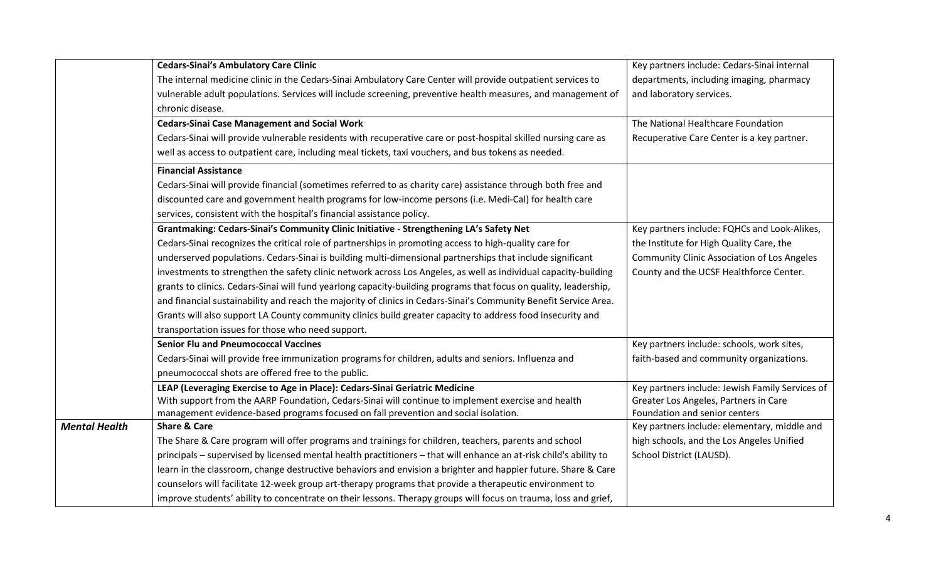|                      | <b>Cedars-Sinai's Ambulatory Care Clinic</b>                                                                      | Key partners include: Cedars-Sinai internal        |
|----------------------|-------------------------------------------------------------------------------------------------------------------|----------------------------------------------------|
|                      | The internal medicine clinic in the Cedars-Sinai Ambulatory Care Center will provide outpatient services to       | departments, including imaging, pharmacy           |
|                      | vulnerable adult populations. Services will include screening, preventive health measures, and management of      | and laboratory services.                           |
|                      | chronic disease.                                                                                                  |                                                    |
|                      | <b>Cedars-Sinai Case Management and Social Work</b>                                                               | The National Healthcare Foundation                 |
|                      | Cedars-Sinai will provide vulnerable residents with recuperative care or post-hospital skilled nursing care as    | Recuperative Care Center is a key partner.         |
|                      | well as access to outpatient care, including meal tickets, taxi vouchers, and bus tokens as needed.               |                                                    |
|                      | <b>Financial Assistance</b>                                                                                       |                                                    |
|                      | Cedars-Sinai will provide financial (sometimes referred to as charity care) assistance through both free and      |                                                    |
|                      | discounted care and government health programs for low-income persons (i.e. Medi-Cal) for health care             |                                                    |
|                      | services, consistent with the hospital's financial assistance policy.                                             |                                                    |
|                      | Grantmaking: Cedars-Sinai's Community Clinic Initiative - Strengthening LA's Safety Net                           | Key partners include: FQHCs and Look-Alikes,       |
|                      | Cedars-Sinai recognizes the critical role of partnerships in promoting access to high-quality care for            | the Institute for High Quality Care, the           |
|                      | underserved populations. Cedars-Sinai is building multi-dimensional partnerships that include significant         | <b>Community Clinic Association of Los Angeles</b> |
|                      | investments to strengthen the safety clinic network across Los Angeles, as well as individual capacity-building   | County and the UCSF Healthforce Center.            |
|                      | grants to clinics. Cedars-Sinai will fund yearlong capacity-building programs that focus on quality, leadership,  |                                                    |
|                      | and financial sustainability and reach the majority of clinics in Cedars-Sinai's Community Benefit Service Area.  |                                                    |
|                      | Grants will also support LA County community clinics build greater capacity to address food insecurity and        |                                                    |
|                      | transportation issues for those who need support.                                                                 |                                                    |
|                      | <b>Senior Flu and Pneumococcal Vaccines</b>                                                                       | Key partners include: schools, work sites,         |
|                      | Cedars-Sinai will provide free immunization programs for children, adults and seniors. Influenza and              | faith-based and community organizations.           |
|                      | pneumococcal shots are offered free to the public.                                                                |                                                    |
|                      | LEAP (Leveraging Exercise to Age in Place): Cedars-Sinai Geriatric Medicine                                       | Key partners include: Jewish Family Services of    |
|                      | With support from the AARP Foundation, Cedars-Sinai will continue to implement exercise and health                | Greater Los Angeles, Partners in Care              |
|                      | management evidence-based programs focused on fall prevention and social isolation.                               | Foundation and senior centers                      |
| <b>Mental Health</b> | <b>Share &amp; Care</b>                                                                                           | Key partners include: elementary, middle and       |
|                      | The Share & Care program will offer programs and trainings for children, teachers, parents and school             | high schools, and the Los Angeles Unified          |
|                      | principals - supervised by licensed mental health practitioners - that will enhance an at-risk child's ability to | School District (LAUSD).                           |
|                      | learn in the classroom, change destructive behaviors and envision a brighter and happier future. Share & Care     |                                                    |
|                      | counselors will facilitate 12-week group art-therapy programs that provide a therapeutic environment to           |                                                    |
|                      | improve students' ability to concentrate on their lessons. Therapy groups will focus on trauma, loss and grief,   |                                                    |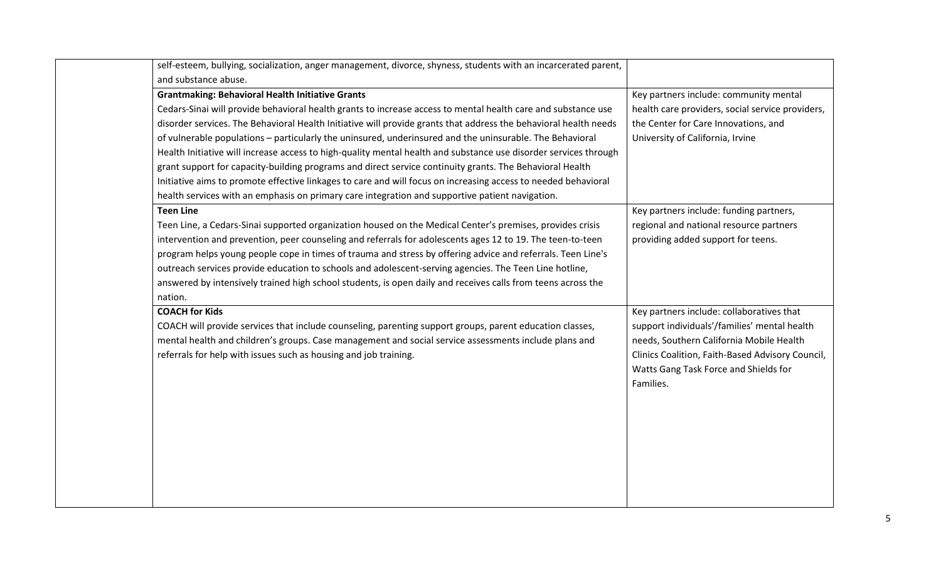| self-esteem, bullying, socialization, anger management, divorce, shyness, students with an incarcerated parent,  |                                                  |
|------------------------------------------------------------------------------------------------------------------|--------------------------------------------------|
| and substance abuse.                                                                                             |                                                  |
| <b>Grantmaking: Behavioral Health Initiative Grants</b>                                                          | Key partners include: community mental           |
| Cedars-Sinai will provide behavioral health grants to increase access to mental health care and substance use    | health care providers, social service providers, |
| disorder services. The Behavioral Health Initiative will provide grants that address the behavioral health needs | the Center for Care Innovations, and             |
| of vulnerable populations - particularly the uninsured, underinsured and the uninsurable. The Behavioral         | University of California, Irvine                 |
| Health Initiative will increase access to high-quality mental health and substance use disorder services through |                                                  |
| grant support for capacity-building programs and direct service continuity grants. The Behavioral Health         |                                                  |
| Initiative aims to promote effective linkages to care and will focus on increasing access to needed behavioral   |                                                  |
| health services with an emphasis on primary care integration and supportive patient navigation.                  |                                                  |
| <b>Teen Line</b>                                                                                                 | Key partners include: funding partners,          |
| Teen Line, a Cedars-Sinai supported organization housed on the Medical Center's premises, provides crisis        | regional and national resource partners          |
| intervention and prevention, peer counseling and referrals for adolescents ages 12 to 19. The teen-to-teen       | providing added support for teens.               |
| program helps young people cope in times of trauma and stress by offering advice and referrals. Teen Line's      |                                                  |
| outreach services provide education to schools and adolescent-serving agencies. The Teen Line hotline,           |                                                  |
| answered by intensively trained high school students, is open daily and receives calls from teens across the     |                                                  |
| nation.                                                                                                          |                                                  |
| <b>COACH for Kids</b>                                                                                            | Key partners include: collaboratives that        |
| COACH will provide services that include counseling, parenting support groups, parent education classes,         | support individuals'/families' mental health     |
| mental health and children's groups. Case management and social service assessments include plans and            | needs, Southern California Mobile Health         |
| referrals for help with issues such as housing and job training.                                                 | Clinics Coalition, Faith-Based Advisory Council, |
|                                                                                                                  | Watts Gang Task Force and Shields for            |
|                                                                                                                  | Families.                                        |
|                                                                                                                  |                                                  |
|                                                                                                                  |                                                  |
|                                                                                                                  |                                                  |
|                                                                                                                  |                                                  |
|                                                                                                                  |                                                  |
|                                                                                                                  |                                                  |
|                                                                                                                  |                                                  |
|                                                                                                                  |                                                  |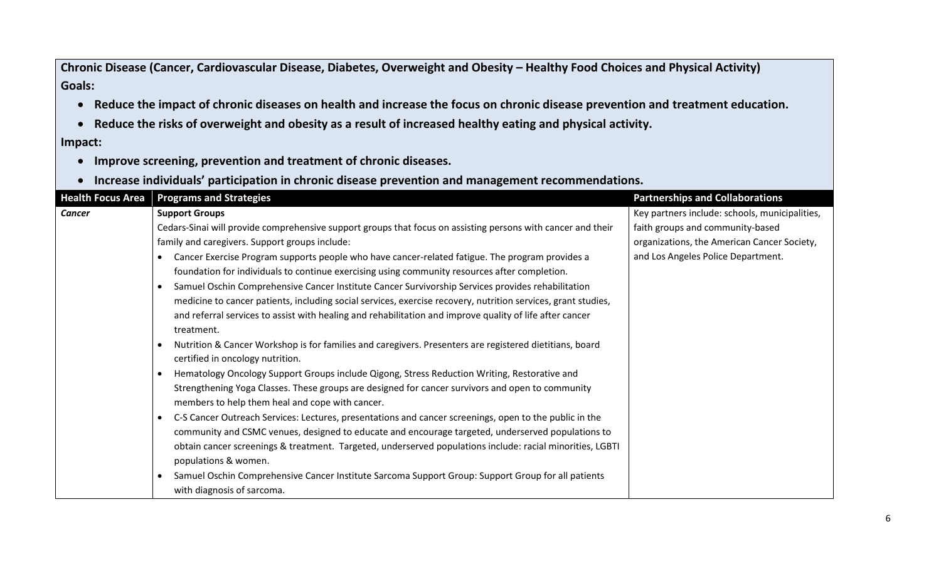Chronic Disease (Cancer, Cardiovascular Disease, Diabetes, Overweight and Obesity – Healthy Food Choices and Physical Activity) **Goals:**

- **Reduce the impact of chronic diseases on health and increase the focus on chronic disease prevention and treatment education.**
- **Reduce the risks of overweight and obesity as a result of increased healthy eating and physical activity.**

**Impact:**

- **Improve screening, prevention and treatment of chronic diseases.**
- **Increase individuals' participation in chronic disease prevention and management recommendations.**

| <b>Health Focus Area</b> | <b>Programs and Strategies</b>                                                                                      | <b>Partnerships and Collaborations</b>         |
|--------------------------|---------------------------------------------------------------------------------------------------------------------|------------------------------------------------|
| <b>Cancer</b>            | <b>Support Groups</b>                                                                                               | Key partners include: schools, municipalities, |
|                          | Cedars-Sinai will provide comprehensive support groups that focus on assisting persons with cancer and their        | faith groups and community-based               |
|                          | family and caregivers. Support groups include:                                                                      | organizations, the American Cancer Society,    |
|                          | Cancer Exercise Program supports people who have cancer-related fatigue. The program provides a<br>$\bullet$        | and Los Angeles Police Department.             |
|                          | foundation for individuals to continue exercising using community resources after completion.                       |                                                |
|                          | Samuel Oschin Comprehensive Cancer Institute Cancer Survivorship Services provides rehabilitation                   |                                                |
|                          | medicine to cancer patients, including social services, exercise recovery, nutrition services, grant studies,       |                                                |
|                          | and referral services to assist with healing and rehabilitation and improve quality of life after cancer            |                                                |
|                          | treatment.                                                                                                          |                                                |
|                          | Nutrition & Cancer Workshop is for families and caregivers. Presenters are registered dietitians, board             |                                                |
|                          | certified in oncology nutrition.                                                                                    |                                                |
|                          | Hematology Oncology Support Groups include Qigong, Stress Reduction Writing, Restorative and<br>$\bullet$           |                                                |
|                          | Strengthening Yoga Classes. These groups are designed for cancer survivors and open to community                    |                                                |
|                          | members to help them heal and cope with cancer.                                                                     |                                                |
|                          | C-S Cancer Outreach Services: Lectures, presentations and cancer screenings, open to the public in the<br>$\bullet$ |                                                |
|                          | community and CSMC venues, designed to educate and encourage targeted, underserved populations to                   |                                                |
|                          | obtain cancer screenings & treatment. Targeted, underserved populations include: racial minorities, LGBTI           |                                                |
|                          | populations & women.                                                                                                |                                                |
|                          | Samuel Oschin Comprehensive Cancer Institute Sarcoma Support Group: Support Group for all patients<br>$\bullet$     |                                                |
|                          | with diagnosis of sarcoma.                                                                                          |                                                |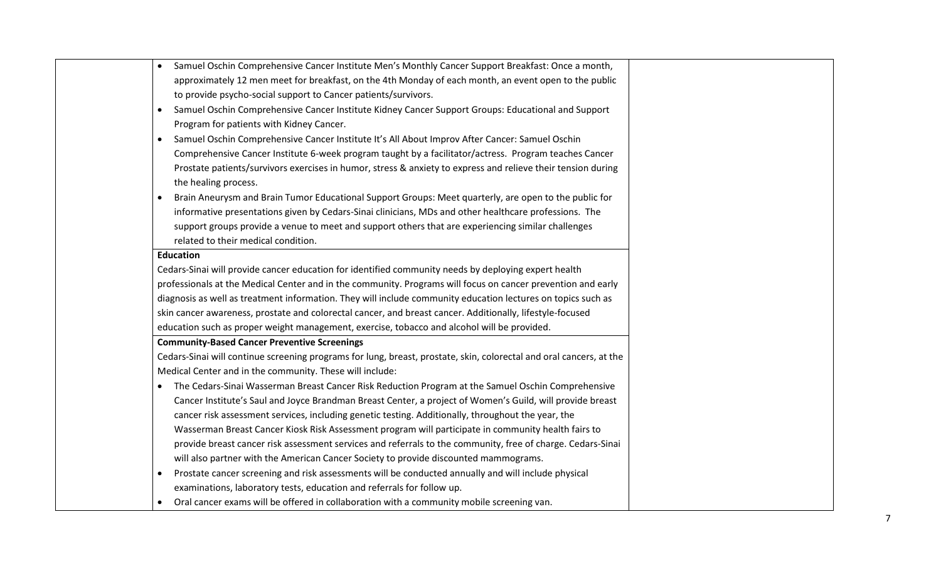| Samuel Oschin Comprehensive Cancer Institute Men's Monthly Cancer Support Breakfast: Once a month,<br>$\bullet$     |
|---------------------------------------------------------------------------------------------------------------------|
| approximately 12 men meet for breakfast, on the 4th Monday of each month, an event open to the public               |
| to provide psycho-social support to Cancer patients/survivors.                                                      |
| Samuel Oschin Comprehensive Cancer Institute Kidney Cancer Support Groups: Educational and Support<br>$\bullet$     |
| Program for patients with Kidney Cancer.                                                                            |
| Samuel Oschin Comprehensive Cancer Institute It's All About Improv After Cancer: Samuel Oschin<br>$\bullet$         |
| Comprehensive Cancer Institute 6-week program taught by a facilitator/actress. Program teaches Cancer               |
| Prostate patients/survivors exercises in humor, stress & anxiety to express and relieve their tension during        |
| the healing process.                                                                                                |
| Brain Aneurysm and Brain Tumor Educational Support Groups: Meet quarterly, are open to the public for<br>$\bullet$  |
| informative presentations given by Cedars-Sinai clinicians, MDs and other healthcare professions. The               |
| support groups provide a venue to meet and support others that are experiencing similar challenges                  |
| related to their medical condition.                                                                                 |
| <b>Education</b>                                                                                                    |
| Cedars-Sinai will provide cancer education for identified community needs by deploying expert health                |
| professionals at the Medical Center and in the community. Programs will focus on cancer prevention and early        |
| diagnosis as well as treatment information. They will include community education lectures on topics such as        |
| skin cancer awareness, prostate and colorectal cancer, and breast cancer. Additionally, lifestyle-focused           |
| education such as proper weight management, exercise, tobacco and alcohol will be provided.                         |
| <b>Community-Based Cancer Preventive Screenings</b>                                                                 |
| Cedars-Sinai will continue screening programs for lung, breast, prostate, skin, colorectal and oral cancers, at the |
| Medical Center and in the community. These will include:                                                            |
| The Cedars-Sinai Wasserman Breast Cancer Risk Reduction Program at the Samuel Oschin Comprehensive<br>$\bullet$     |
| Cancer Institute's Saul and Joyce Brandman Breast Center, a project of Women's Guild, will provide breast           |
| cancer risk assessment services, including genetic testing. Additionally, throughout the year, the                  |
| Wasserman Breast Cancer Kiosk Risk Assessment program will participate in community health fairs to                 |
| provide breast cancer risk assessment services and referrals to the community, free of charge. Cedars-Sinai         |
| will also partner with the American Cancer Society to provide discounted mammograms.                                |
| Prostate cancer screening and risk assessments will be conducted annually and will include physical<br>$\bullet$    |
| examinations, laboratory tests, education and referrals for follow up.                                              |
| Oral cancer exams will be offered in collaboration with a community mobile screening van.<br>$\bullet$              |
|                                                                                                                     |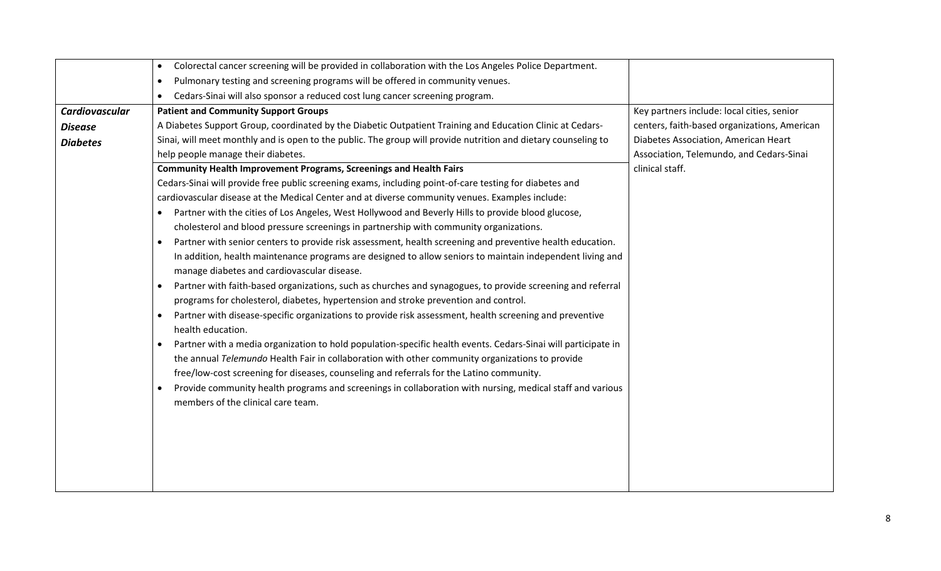|                 | Colorectal cancer screening will be provided in collaboration with the Los Angeles Police Department.<br>$\bullet$           |                                              |
|-----------------|------------------------------------------------------------------------------------------------------------------------------|----------------------------------------------|
|                 | Pulmonary testing and screening programs will be offered in community venues.                                                |                                              |
|                 | Cedars-Sinai will also sponsor a reduced cost lung cancer screening program.                                                 |                                              |
| Cardiovascular  | <b>Patient and Community Support Groups</b>                                                                                  | Key partners include: local cities, senior   |
| <b>Disease</b>  | A Diabetes Support Group, coordinated by the Diabetic Outpatient Training and Education Clinic at Cedars-                    | centers, faith-based organizations, American |
| <b>Diabetes</b> | Sinai, will meet monthly and is open to the public. The group will provide nutrition and dietary counseling to               | Diabetes Association, American Heart         |
|                 | help people manage their diabetes.                                                                                           | Association, Telemundo, and Cedars-Sinai     |
|                 | <b>Community Health Improvement Programs, Screenings and Health Fairs</b>                                                    | clinical staff.                              |
|                 | Cedars-Sinai will provide free public screening exams, including point-of-care testing for diabetes and                      |                                              |
|                 | cardiovascular disease at the Medical Center and at diverse community venues. Examples include:                              |                                              |
|                 | Partner with the cities of Los Angeles, West Hollywood and Beverly Hills to provide blood glucose,<br>$\bullet$              |                                              |
|                 | cholesterol and blood pressure screenings in partnership with community organizations.                                       |                                              |
|                 | Partner with senior centers to provide risk assessment, health screening and preventive health education.                    |                                              |
|                 | In addition, health maintenance programs are designed to allow seniors to maintain independent living and                    |                                              |
|                 | manage diabetes and cardiovascular disease.                                                                                  |                                              |
|                 | Partner with faith-based organizations, such as churches and synagogues, to provide screening and referral                   |                                              |
|                 | programs for cholesterol, diabetes, hypertension and stroke prevention and control.                                          |                                              |
|                 | Partner with disease-specific organizations to provide risk assessment, health screening and preventive<br>health education. |                                              |
|                 | Partner with a media organization to hold population-specific health events. Cedars-Sinai will participate in                |                                              |
|                 | the annual Telemundo Health Fair in collaboration with other community organizations to provide                              |                                              |
|                 | free/low-cost screening for diseases, counseling and referrals for the Latino community.                                     |                                              |
|                 | Provide community health programs and screenings in collaboration with nursing, medical staff and various                    |                                              |
|                 | members of the clinical care team.                                                                                           |                                              |
|                 |                                                                                                                              |                                              |
|                 |                                                                                                                              |                                              |
|                 |                                                                                                                              |                                              |
|                 |                                                                                                                              |                                              |
|                 |                                                                                                                              |                                              |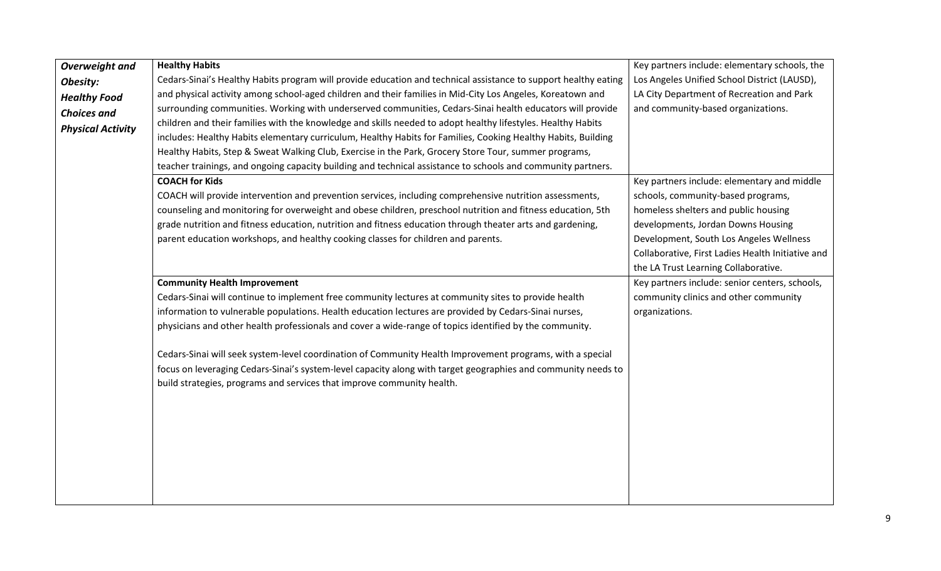| <b>Overweight and</b>    | <b>Healthy Habits</b>                                                                                           | Key partners include: elementary schools, the     |
|--------------------------|-----------------------------------------------------------------------------------------------------------------|---------------------------------------------------|
| Obesity:                 | Cedars-Sinai's Healthy Habits program will provide education and technical assistance to support healthy eating | Los Angeles Unified School District (LAUSD),      |
| <b>Healthy Food</b>      | and physical activity among school-aged children and their families in Mid-City Los Angeles, Koreatown and      | LA City Department of Recreation and Park         |
| <b>Choices and</b>       | surrounding communities. Working with underserved communities, Cedars-Sinai health educators will provide       | and community-based organizations.                |
| <b>Physical Activity</b> | children and their families with the knowledge and skills needed to adopt healthy lifestyles. Healthy Habits    |                                                   |
|                          | includes: Healthy Habits elementary curriculum, Healthy Habits for Families, Cooking Healthy Habits, Building   |                                                   |
|                          | Healthy Habits, Step & Sweat Walking Club, Exercise in the Park, Grocery Store Tour, summer programs,           |                                                   |
|                          | teacher trainings, and ongoing capacity building and technical assistance to schools and community partners.    |                                                   |
|                          | <b>COACH for Kids</b>                                                                                           | Key partners include: elementary and middle       |
|                          | COACH will provide intervention and prevention services, including comprehensive nutrition assessments,         | schools, community-based programs,                |
|                          | counseling and monitoring for overweight and obese children, preschool nutrition and fitness education, 5th     | homeless shelters and public housing              |
|                          | grade nutrition and fitness education, nutrition and fitness education through theater arts and gardening,      | developments, Jordan Downs Housing                |
|                          | parent education workshops, and healthy cooking classes for children and parents.                               | Development, South Los Angeles Wellness           |
|                          |                                                                                                                 | Collaborative, First Ladies Health Initiative and |
|                          |                                                                                                                 | the LA Trust Learning Collaborative.              |
|                          | <b>Community Health Improvement</b>                                                                             | Key partners include: senior centers, schools,    |
|                          | Cedars-Sinai will continue to implement free community lectures at community sites to provide health            | community clinics and other community             |
|                          | information to vulnerable populations. Health education lectures are provided by Cedars-Sinai nurses,           | organizations.                                    |
|                          | physicians and other health professionals and cover a wide-range of topics identified by the community.         |                                                   |
|                          | Cedars-Sinai will seek system-level coordination of Community Health Improvement programs, with a special       |                                                   |
|                          | focus on leveraging Cedars-Sinai's system-level capacity along with target geographies and community needs to   |                                                   |
|                          | build strategies, programs and services that improve community health.                                          |                                                   |
|                          |                                                                                                                 |                                                   |
|                          |                                                                                                                 |                                                   |
|                          |                                                                                                                 |                                                   |
|                          |                                                                                                                 |                                                   |
|                          |                                                                                                                 |                                                   |
|                          |                                                                                                                 |                                                   |
|                          |                                                                                                                 |                                                   |
|                          |                                                                                                                 |                                                   |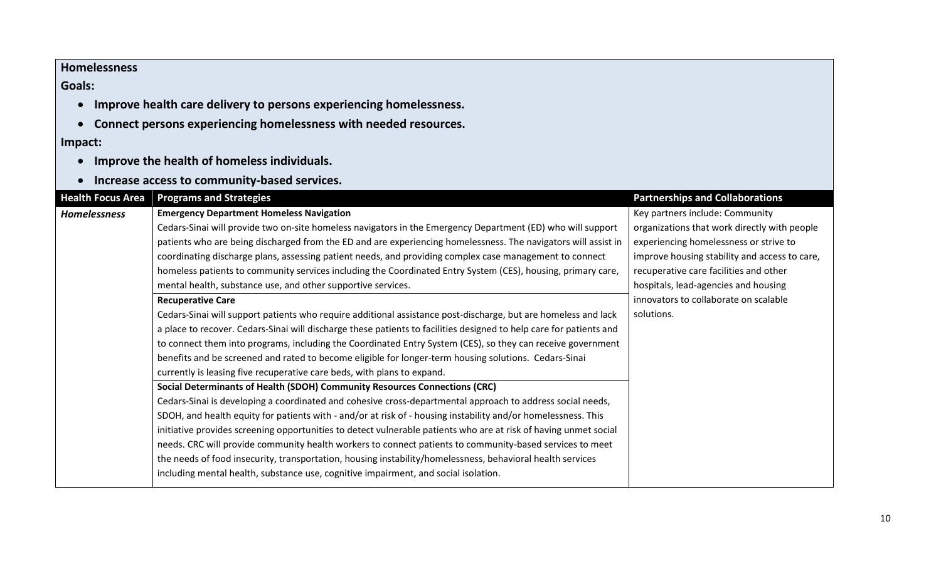### **Homelessness**

### **Goals:**

- **Improve health care delivery to persons experiencing homelessness.**
- **Connect persons experiencing homelessness with needed resources.**

### **Impact:**

- **Improve the health of homeless individuals.**
- **Increase access to community-based services.**

| <b>Health Focus Area</b> | <b>Programs and Strategies</b>                                                                                      | <b>Partnerships and Collaborations</b>        |
|--------------------------|---------------------------------------------------------------------------------------------------------------------|-----------------------------------------------|
| Homelessness             | <b>Emergency Department Homeless Navigation</b>                                                                     | Key partners include: Community               |
|                          | Cedars-Sinai will provide two on-site homeless navigators in the Emergency Department (ED) who will support         | organizations that work directly with people  |
|                          | patients who are being discharged from the ED and are experiencing homelessness. The navigators will assist in      | experiencing homelessness or strive to        |
|                          | coordinating discharge plans, assessing patient needs, and providing complex case management to connect             | improve housing stability and access to care, |
|                          | homeless patients to community services including the Coordinated Entry System (CES), housing, primary care,        | recuperative care facilities and other        |
|                          | mental health, substance use, and other supportive services.                                                        | hospitals, lead-agencies and housing          |
|                          | <b>Recuperative Care</b>                                                                                            | innovators to collaborate on scalable         |
|                          | Cedars-Sinai will support patients who require additional assistance post-discharge, but are homeless and lack      | solutions.                                    |
|                          | a place to recover. Cedars-Sinai will discharge these patients to facilities designed to help care for patients and |                                               |
|                          | to connect them into programs, including the Coordinated Entry System (CES), so they can receive government         |                                               |
|                          | benefits and be screened and rated to become eligible for longer-term housing solutions. Cedars-Sinai               |                                               |
|                          | currently is leasing five recuperative care beds, with plans to expand.                                             |                                               |
|                          | Social Determinants of Health (SDOH) Community Resources Connections (CRC)                                          |                                               |
|                          | Cedars-Sinai is developing a coordinated and cohesive cross-departmental approach to address social needs,          |                                               |
|                          | SDOH, and health equity for patients with - and/or at risk of - housing instability and/or homelessness. This       |                                               |
|                          | initiative provides screening opportunities to detect vulnerable patients who are at risk of having unmet social    |                                               |
|                          | needs. CRC will provide community health workers to connect patients to community-based services to meet            |                                               |
|                          | the needs of food insecurity, transportation, housing instability/homelessness, behavioral health services          |                                               |
|                          | including mental health, substance use, cognitive impairment, and social isolation.                                 |                                               |
|                          |                                                                                                                     |                                               |